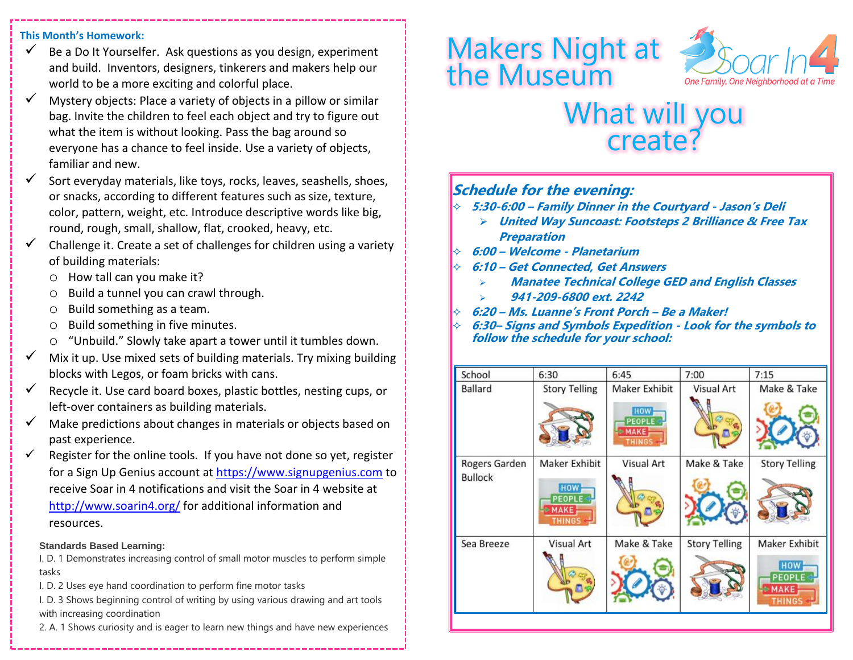#### **This Month's Homework:**

- $\checkmark$  Be a Do It Yourselfer. Ask questions as you design, experiment and build. Inventors, designers, tinkerers and makers help our world to be a more exciting and colorful place.
- $\checkmark$  Mystery objects: Place a variety of objects in a pillow or similar bag. Invite the children to feel each object and try to figure out what the item is without looking. Pass the bag around so everyone has a chance to feel inside. Use a variety of objects, familiar and new.
- $\checkmark$  Sort everyday materials, like toys, rocks, leaves, seashells, shoes, or snacks, according to different features such as size, texture, color, pattern, weight, etc. Introduce descriptive words like big, round, rough, small, shallow, flat, crooked, heavy, etc.
- $\checkmark$  Challenge it. Create a set of challenges for children using a variety of building materials:
	- o How tall can you make it?
	- Build a tunnel you can crawl through.
	- o Build something as a team.
	- o Build something in five minutes.
	- o "Unbuild." Slowly take apart a tower until it tumbles down.
- $\checkmark$  Mix it up. Use mixed sets of building materials. Try mixing building blocks with Legos, or foam bricks with cans.
- $\checkmark$  Recycle it. Use card board boxes, plastic bottles, nesting cups, or left-over containers as building materials.
- $\checkmark$  Make predictions about changes in materials or objects based on past experience.
- $\checkmark$  Register for the online tools. If you have not done so yet, register for a Sign Up Genius account at [https://www.signupgenius.com](https://www.signupgenius.com/) to receive Soar in 4 notifications and visit the Soar in 4 website at <http://www.soarin4.org/> for additional information and resources.

#### **Standards Based Learning:**

I. D. 1 Demonstrates increasing control of small motor muscles to perform simple tasks

I. D. 2 Uses eye hand coordination to perform fine motor tasks

I. D. 3 Shows beginning control of writing by using various drawing and art tools with increasing coordination

2. A. 1 Shows curiosity and is eager to learn new things and have new experiences

# Makers Night at the Museum



## What will you create?

### **Schedule for the evening:**

- **5:30-6:00 – Family Dinner in the Courtyard - Jason's Deli**
	- ➢ **United Way Suncoast: Footsteps 2 Brilliance & Free Tax Preparation**
- **6:00 – Welcome - Planetarium**
- **6:10 – Get Connected, Get Answers**
	- ➢ **Manatee Technical College GED and English Classes**
	- ➢ **941-209-6800 ext. 2242**
- **6:20 – Ms. Luanne's Front Porch – Be a Maker!**
- **6:30– Signs and Symbols Expedition - Look for the symbols to follow the schedule for your school:**

| School                          | 6:30                                                                         | 6:45                                                                  | 7:00                 | 7:15                                                           |
|---------------------------------|------------------------------------------------------------------------------|-----------------------------------------------------------------------|----------------------|----------------------------------------------------------------|
| Ballard                         | <b>Story Telling</b>                                                         | Maker Exhibit<br><b>HOW</b><br>PEOPLE<br><b>MAKE</b><br><b>THINGS</b> | <b>Visual Art</b>    | Make & Take                                                    |
| Rogers Garden<br><b>Bullock</b> | Maker Exhibit<br><b>HOW</b><br><b>PEOPLE</b><br><b>MAKE</b><br><b>THINGS</b> | Visual Art                                                            | Make & Take          | <b>Story Telling</b>                                           |
| Sea Breeze                      | Visual Art                                                                   | Make & Take                                                           | <b>Story Telling</b> | Maker Exhibit<br><b>HOW</b><br>PEOPLE<br>MAKE<br><b>THINGS</b> |